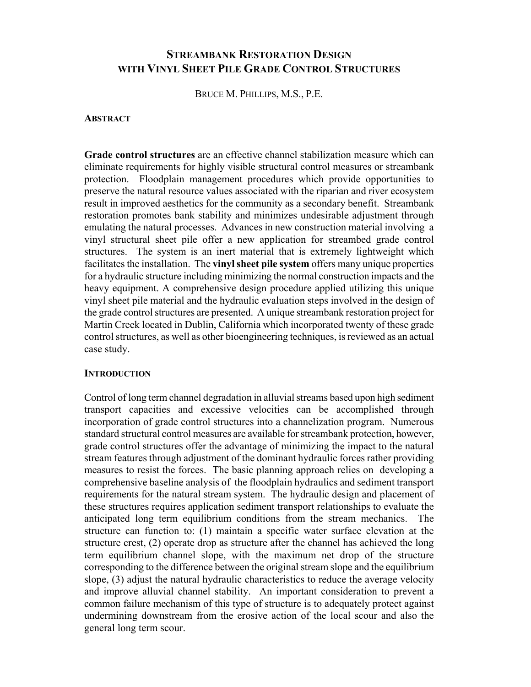# **STREAMBANK RESTORATION DESIGN WITH VINYL SHEET PILE GRADE CONTROL STRUCTURES**

BRUCE M. PHILLIPS, M.S., P.E.

#### **ABSTRACT**

**Grade control structures** are an effective channel stabilization measure which can eliminate requirements for highly visible structural control measures or streambank protection. Floodplain management procedures which provide opportunities to preserve the natural resource values associated with the riparian and river ecosystem result in improved aesthetics for the community as a secondary benefit. Streambank restoration promotes bank stability and minimizes undesirable adjustment through emulating the natural processes. Advances in new construction material involving a vinyl structural sheet pile offer a new application for streambed grade control structures. The system is an inert material that is extremely lightweight which facilitates the installation. The **vinyl sheet pile system** offers many unique properties for a hydraulic structure including minimizing the normal construction impacts and the heavy equipment. A comprehensive design procedure applied utilizing this unique vinyl sheet pile material and the hydraulic evaluation steps involved in the design of the grade control structures are presented. A unique streambank restoration project for Martin Creek located in Dublin, California which incorporated twenty of these grade control structures, as well as other bioengineering techniques, is reviewed as an actual case study.

### **INTRODUCTION**

Control of long term channel degradation in alluvial streams based upon high sediment transport capacities and excessive velocities can be accomplished through incorporation of grade control structures into a channelization program. Numerous standard structural control measures are available for streambank protection, however, grade control structures offer the advantage of minimizing the impact to the natural stream features through adjustment of the dominant hydraulic forces rather providing measures to resist the forces. The basic planning approach relies on developing a comprehensive baseline analysis of the floodplain hydraulics and sediment transport requirements for the natural stream system. The hydraulic design and placement of these structures requires application sediment transport relationships to evaluate the anticipated long term equilibrium conditions from the stream mechanics. The structure can function to: (1) maintain a specific water surface elevation at the structure crest, (2) operate drop as structure after the channel has achieved the long term equilibrium channel slope, with the maximum net drop of the structure corresponding to the difference between the original stream slope and the equilibrium slope, (3) adjust the natural hydraulic characteristics to reduce the average velocity and improve alluvial channel stability. An important consideration to prevent a common failure mechanism of this type of structure is to adequately protect against undermining downstream from the erosive action of the local scour and also the general long term scour.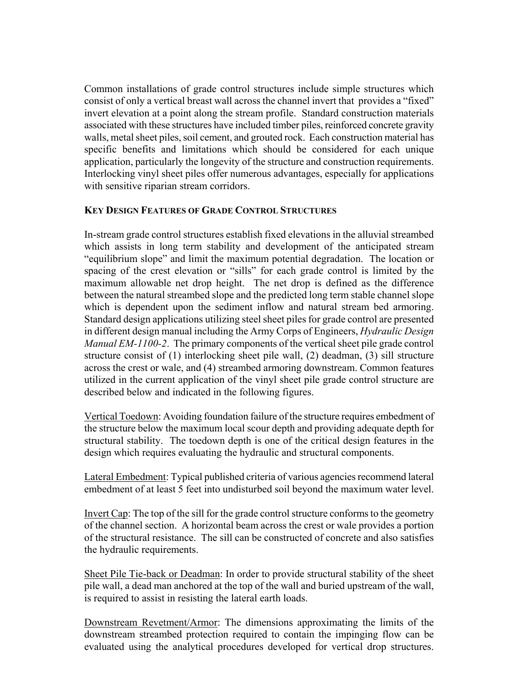Common installations of grade control structures include simple structures which consist of only a vertical breast wall across the channel invert that provides a "fixed" invert elevation at a point along the stream profile. Standard construction materials associated with these structures have included timber piles, reinforced concrete gravity walls, metal sheet piles, soil cement, and grouted rock. Each construction material has specific benefits and limitations which should be considered for each unique application, particularly the longevity of the structure and construction requirements. Interlocking vinyl sheet piles offer numerous advantages, especially for applications with sensitive riparian stream corridors.

### **KEY DESIGN FEATURES OF GRADE CONTROL STRUCTURES**

In-stream grade control structures establish fixed elevations in the alluvial streambed which assists in long term stability and development of the anticipated stream "equilibrium slope" and limit the maximum potential degradation. The location or spacing of the crest elevation or "sills" for each grade control is limited by the maximum allowable net drop height. The net drop is defined as the difference between the natural streambed slope and the predicted long term stable channel slope which is dependent upon the sediment inflow and natural stream bed armoring. Standard design applications utilizing steel sheet piles for grade control are presented in different design manual including the Army Corps of Engineers, *Hydraulic Design Manual EM-1100-2*. The primary components of the vertical sheet pile grade control structure consist of (1) interlocking sheet pile wall, (2) deadman, (3) sill structure across the crest or wale, and (4) streambed armoring downstream. Common features utilized in the current application of the vinyl sheet pile grade control structure are described below and indicated in the following figures.

Vertical Toedown: Avoiding foundation failure of the structure requires embedment of the structure below the maximum local scour depth and providing adequate depth for structural stability. The toedown depth is one of the critical design features in the design which requires evaluating the hydraulic and structural components.

Lateral Embedment: Typical published criteria of various agencies recommend lateral embedment of at least 5 feet into undisturbed soil beyond the maximum water level.

Invert Cap: The top of the sill for the grade control structure conforms to the geometry of the channel section. A horizontal beam across the crest or wale provides a portion of the structural resistance. The sill can be constructed of concrete and also satisfies the hydraulic requirements.

Sheet Pile Tie-back or Deadman: In order to provide structural stability of the sheet pile wall, a dead man anchored at the top of the wall and buried upstream of the wall, is required to assist in resisting the lateral earth loads.

Downstream Revetment/Armor: The dimensions approximating the limits of the downstream streambed protection required to contain the impinging flow can be evaluated using the analytical procedures developed for vertical drop structures.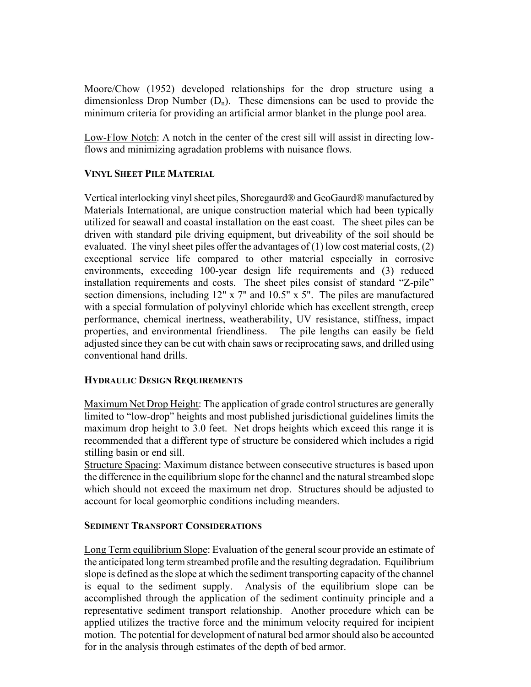Moore/Chow (1952) developed relationships for the drop structure using a dimensionless Drop Number  $(D_n)$ . These dimensions can be used to provide the minimum criteria for providing an artificial armor blanket in the plunge pool area.

Low-Flow Notch: A notch in the center of the crest sill will assist in directing lowflows and minimizing agradation problems with nuisance flows.

## **VINYL SHEET PILE MATERIAL**

Vertical interlocking vinyl sheet piles, Shoregaurd® and GeoGaurd® manufactured by Materials International, are unique construction material which had been typically utilized for seawall and coastal installation on the east coast. The sheet piles can be driven with standard pile driving equipment, but driveability of the soil should be evaluated. The vinyl sheet piles offer the advantages of  $(1)$  low cost material costs,  $(2)$ exceptional service life compared to other material especially in corrosive environments, exceeding 100-year design life requirements and (3) reduced installation requirements and costs. The sheet piles consist of standard "Z-pile" section dimensions, including 12" x 7" and 10.5" x 5". The piles are manufactured with a special formulation of polyvinyl chloride which has excellent strength, creep performance, chemical inertness, weatherability, UV resistance, stiffness, impact properties, and environmental friendliness. The pile lengths can easily be field adjusted since they can be cut with chain saws or reciprocating saws, and drilled using conventional hand drills.

# **HYDRAULIC DESIGN REQUIREMENTS**

Maximum Net Drop Height: The application of grade control structures are generally limited to "low-drop" heights and most published jurisdictional guidelines limits the maximum drop height to 3.0 feet. Net drops heights which exceed this range it is recommended that a different type of structure be considered which includes a rigid stilling basin or end sill.

Structure Spacing: Maximum distance between consecutive structures is based upon the difference in the equilibrium slope for the channel and the natural streambed slope which should not exceed the maximum net drop. Structures should be adjusted to account for local geomorphic conditions including meanders.

# **SEDIMENT TRANSPORT CONSIDERATIONS**

Long Term equilibrium Slope: Evaluation of the general scour provide an estimate of the anticipated long term streambed profile and the resulting degradation. Equilibrium slope is defined as the slope at which the sediment transporting capacity of the channel is equal to the sediment supply. Analysis of the equilibrium slope can be accomplished through the application of the sediment continuity principle and a representative sediment transport relationship. Another procedure which can be applied utilizes the tractive force and the minimum velocity required for incipient motion. The potential for development of natural bed armor should also be accounted for in the analysis through estimates of the depth of bed armor.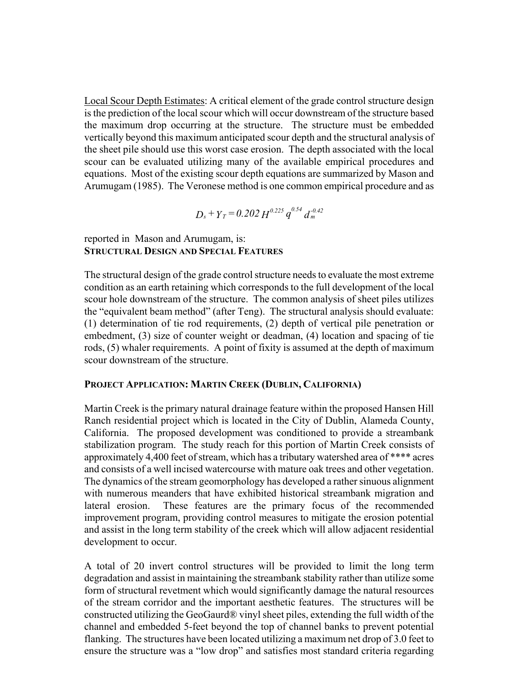Local Scour Depth Estimates: A critical element of the grade control structure design is the prediction of the local scour which will occur downstream of the structure based the maximum drop occurring at the structure. The structure must be embedded vertically beyond this maximum anticipated scour depth and the structural analysis of the sheet pile should use this worst case erosion. The depth associated with the local scour can be evaluated utilizing many of the available empirical procedures and equations. Most of the existing scour depth equations are summarized by Mason and Arumugam (1985). The Veronese method is one common empirical procedure and as

$$
D_s + Y_T = 0.202 H^{0.225} q^{0.54} d_m^{-0.42}
$$

### reported in Mason and Arumugam, is: **STRUCTURAL DESIGN AND SPECIAL FEATURES**

The structural design of the grade control structure needs to evaluate the most extreme condition as an earth retaining which corresponds to the full development of the local scour hole downstream of the structure. The common analysis of sheet piles utilizes the "equivalent beam method" (after Teng). The structural analysis should evaluate: (1) determination of tie rod requirements, (2) depth of vertical pile penetration or embedment, (3) size of counter weight or deadman, (4) location and spacing of tie rods, (5) whaler requirements. A point of fixity is assumed at the depth of maximum scour downstream of the structure.

### **PROJECT APPLICATION: MARTIN CREEK (DUBLIN, CALIFORNIA)**

Martin Creek is the primary natural drainage feature within the proposed Hansen Hill Ranch residential project which is located in the City of Dublin, Alameda County, California. The proposed development was conditioned to provide a streambank stabilization program. The study reach for this portion of Martin Creek consists of approximately 4,400 feet of stream, which has a tributary watershed area of \*\*\*\* acres and consists of a well incised watercourse with mature oak trees and other vegetation. The dynamics of the stream geomorphology has developed a rather sinuous alignment with numerous meanders that have exhibited historical streambank migration and lateral erosion. These features are the primary focus of the recommended improvement program, providing control measures to mitigate the erosion potential and assist in the long term stability of the creek which will allow adjacent residential development to occur.

A total of 20 invert control structures will be provided to limit the long term degradation and assist in maintaining the streambank stability rather than utilize some form of structural revetment which would significantly damage the natural resources of the stream corridor and the important aesthetic features. The structures will be constructed utilizing the GeoGaurd® vinyl sheet piles, extending the full width of the channel and embedded 5-feet beyond the top of channel banks to prevent potential flanking. The structures have been located utilizing a maximum net drop of 3.0 feet to ensure the structure was a "low drop" and satisfies most standard criteria regarding